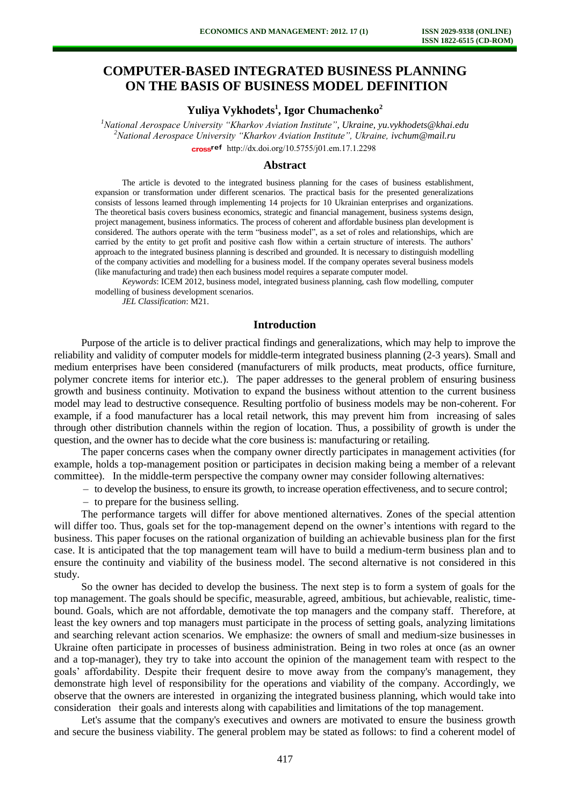# **COMPUTER-BASED INTEGRATED BUSINESS PLANNING ON THE BASIS OF BUSINESS MODEL DEFINITION**

# **Yuliya Vykhodets<sup>1</sup> , Igor Chumachenko<sup>2</sup>**

*<sup>1</sup>National Aerospace University "Kharkov Aviation Institute", Ukraine, [yu.vykhodets@khai.edu](mailto:yu.vykhodets@khai.edu) <sup>2</sup>National Aerospace University "Kharkov Aviation Institute", Ukraine, [ivchum@mail.ru](mailto:ivchum@mail.ru)* cross<sup>ref</sup> [http://dx.doi.org/10.5755/j01.e](http://dx.doi.org/10.5755/j01.em.17.1.2298)m.17.1.2298

#### **Abstract**

The article is devoted to the integrated business planning for the cases of business establishment, expansion or transformation under different scenarios. The practical basis for the presented generalizations consists of lessons learned through implementing 14 projects for 10 Ukrainian enterprises and organizations. The theoretical basis covers business economics, strategic and financial management, business systems design, project management, business informatics. The process of coherent and affordable business plan development is considered. The authors operate with the term "business model", as a set of roles and relationships, which are carried by the entity to get profit and positive cash flow within a certain structure of interests. The authors' approach to the integrated business planning is described and grounded. It is necessary to distinguish modelling of the company activities and modelling for a business model. If the company operates several business models (like manufacturing and trade) then each business model requires a separate computer model.

*Keywords*: ICEM 2012, business model, integrated business planning, cash flow modelling, computer modelling of business development scenarios.

*JEL Classification*: M21.

## **Introduction**

Purpose of the article is to deliver practical findings and generalizations, which may help to improve the reliability and validity of computer models for middle-term integrated business planning (2-3 years). Small and medium enterprises have been considered (manufacturers of milk products, meat products, office furniture, polymer concrete items for interior etc.). The paper addresses to the general problem of ensuring business growth and business continuity. Motivation to expand the business without attention to the current business model may lead to destructive consequence. Resulting portfolio of business models may be non-coherent. For example, if a food manufacturer has a local retail network, this may prevent him from increasing of sales through other distribution channels within the region of location. Thus, a possibility of growth is under the question, and the owner has to decide what the core business is: manufacturing or retailing.

The paper concerns cases when the company owner directly participates in management activities (for example, holds a top-management position or participates in decision making being a member of a relevant committee). In the middle-term perspective the company owner may consider following alternatives:

to develop the business, to ensure its growth, to increase operation effectiveness, and to secure control;

 $-$  to prepare for the business selling.

The performance targets will differ for above mentioned alternatives. Zones of the special attention will differ too. Thus, goals set for the top-management depend on the owner's intentions with regard to the business. This paper focuses on the rational organization of building an achievable business plan for the first case. It is anticipated that the top management team will have to build a medium-term business plan and to ensure the continuity and viability of the business model. The second alternative is not considered in this study.

So the owner has decided to develop the business. The next step is to form a system of goals for the top management. The goals should be specific, measurable, agreed, ambitious, but achievable, realistic, timebound. Goals, which are not affordable, demotivate the top managers and the company staff. Therefore, at least the key owners and top managers must participate in the process of setting goals, analyzing limitations and searching relevant action scenarios. We emphasize: the owners of small and medium-size businesses in Ukraine often participate in processes of business administration. Being in two roles at once (as an owner and a top-manager), they try to take into account the opinion of the management team with respect to the goals' affordability. Despite their frequent desire to move away from the company's management, they demonstrate high level of responsibility for the operations and viability of the company. Accordingly, we observe that the owners are interested in organizing the integrated business planning, which would take into consideration their goals and interests along with capabilities and limitations of the top management.

Let's assume that the company's executives and owners are motivated to ensure the business growth and secure the business viability. The general problem may be stated as follows: to find a coherent model of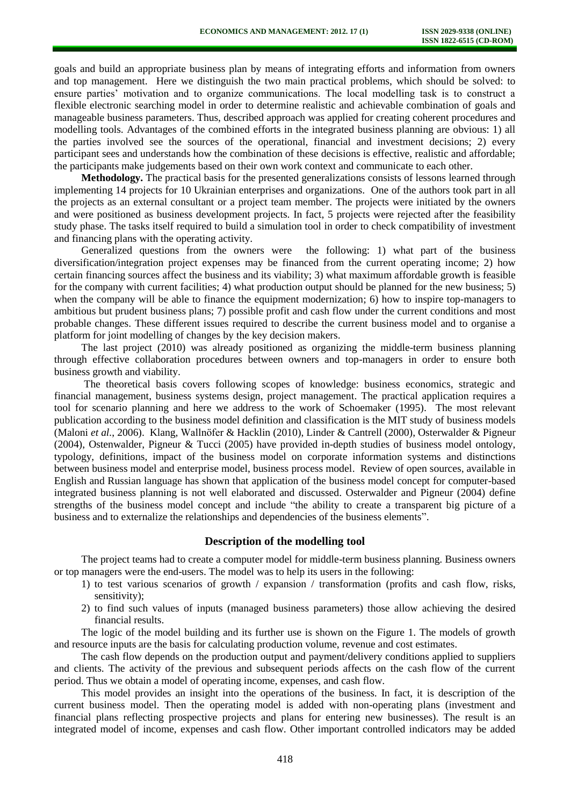goals and build an appropriate business plan by means of integrating efforts and information from owners and top management. Here we distinguish the two main practical problems, which should be solved: to ensure parties' motivation and to organize communications. The local modelling task is to construct a flexible electronic searching model in order to determine realistic and achievable combination of goals and manageable business parameters. Thus, described approach was applied for creating coherent procedures and modelling tools. Advantages of the combined efforts in the integrated business planning are obvious: 1) all the parties involved see the sources of the operational, financial and investment decisions; 2) every participant sees and understands how the combination of these decisions is effective, realistic and affordable; the participants make judgements based on their own work context and communicate to each other.

**Methodology.** The practical basis for the presented generalizations consists of lessons learned through implementing 14 projects for 10 Ukrainian enterprises and organizations. One of the authors took part in all the projects as an external consultant or a project team member. The projects were initiated by the owners and were positioned as business development projects. In fact, 5 projects were rejected after the feasibility study phase. The tasks itself required to build a simulation tool in order to check compatibility of investment and financing plans with the operating activity.

Generalized questions from the owners were the following: 1) what part of the business diversification/integration project expenses may be financed from the current operating income; 2) how certain financing sources affect the business and its viability; 3) what maximum affordable growth is feasible for the company with current facilities; 4) what production output should be planned for the new business; 5) when the company will be able to finance the equipment modernization; 6) how to inspire top-managers to ambitious but prudent business plans; 7) possible profit and cash flow under the current conditions and most probable changes. These different issues required to describe the current business model and to organise a platform for joint modelling of changes by the key decision makers.

The last project (2010) was already positioned as organizing the middle-term business planning through effective collaboration procedures between owners and top-managers in order to ensure both business growth and viability.

The theoretical basis covers following scopes of knowledge: business economics, strategic and financial management, business systems design, project management. The practical application requires a tool for scenario planning and here we address to the work of Schoemaker (1995). The most relevant publication according to the business model definition and classification is the MIT study of business models (Maloni *et al.*, 2006). Klang, Wallnöfer & Hacklin (2010), Linder & Cantrell (2000), Osterwalder & Pigneur (2004), Ostenwalder, Pigneur & Tucci (2005) have provided in-depth studies of business model ontology, typology, definitions, impact of the business model on corporate information systems and distinctions between business model and enterprise model, business process model. Review of open sources, available in English and Russian language has shown that application of the business model concept for computer-based integrated business planning is not well elaborated and discussed. Osterwalder and Pigneur (2004) define strengths of the business model concept and include "the ability to create a transparent big picture of a business and to externalize the relationships and dependencies of the business elements".

#### **Description of the modelling tool**

The project teams had to create a computer model for middle-term business planning. Business owners or top managers were the end-users. The model was to help its users in the following:

- 1) to test various scenarios of growth / expansion / transformation (profits and cash flow, risks, sensitivity);
- 2) to find such values of inputs (managed business parameters) those allow achieving the desired financial results.

The logic of the model building and its further use is shown on the Figure 1. The models of growth and resource inputs are the basis for calculating production volume, revenue and cost estimates.

The cash flow depends on the production output and payment/delivery conditions applied to suppliers and clients. The activity of the previous and subsequent periods affects on the cash flow of the current period. Thus we obtain a model of operating income, expenses, and cash flow.

This model provides an insight into the operations of the business. In fact, it is description of the current business model. Then the operating model is added with non-operating plans (investment and financial plans reflecting prospective projects and plans for entering new businesses). The result is an integrated model of income, expenses and cash flow. Other important controlled indicators may be added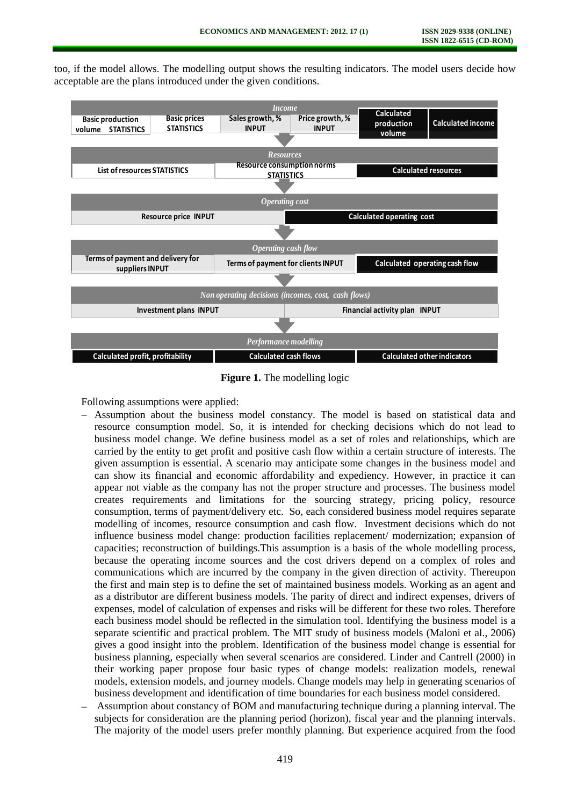too, if the model allows. The modelling output shows the resulting indicators. The model users decide how acceptable are the plans introduced under the given conditions.



**Figure 1.** The modelling logic

Following assumptions were applied:

- Assumption about the business model constancy. The model is based on statistical data and resource consumption model. So, it is intended for checking decisions which do not lead to business model change. We define business model as a set of roles and relationships, which are carried by the entity to get profit and positive cash flow within a certain structure of interests. The given assumption is essential. A scenario may anticipate some changes in the business model and can show its financial and economic affordability and expediency. However, in practice it can appear not viable as the company has not the proper structure and processes. The business model creates requirements and limitations for the sourcing strategy, pricing policy, resource consumption, terms of payment/delivery etc. So, each considered business model requires separate modelling of incomes, resource consumption and cash flow. Investment decisions which do not influence business model change: production facilities replacement/ modernization; expansion of capacities; reconstruction of buildings.This assumption is a basis of the whole modelling process, because the operating income sources and the cost drivers depend on a complex of roles and communications which are incurred by the company in the given direction of activity. Thereupon the first and main step is to define the set of maintained business models. Working as an agent and as a distributor are different business models. The parity of direct and indirect expenses, drivers of expenses, model of calculation of expenses and risks will be different for these two roles. Therefore each business model should be reflected in the simulation tool. Identifying the business model is a separate scientific and practical problem. The MIT study of business models (Maloni et al., 2006) gives a good insight into the problem. Identification of the business model change is essential for business planning, especially when several scenarios are considered. Linder and Cantrell (2000) in their working paper propose four basic types of change models: realization models, renewal models, extension models, and journey models. Change models may help in generating scenarios of business development and identification of time boundaries for each business model considered.
- Assumption about constancy of BOM and manufacturing technique during a planning interval. The subjects for consideration are the planning period (horizon), fiscal year and the planning intervals. The majority of the model users prefer monthly planning. But experience acquired from the food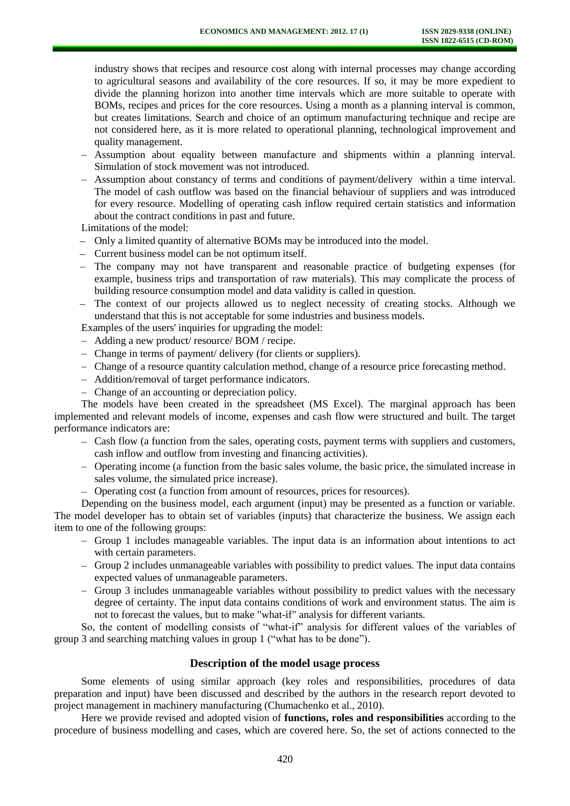industry shows that recipes and resource cost along with internal processes may change according to agricultural seasons and availability of the core resources. If so, it may be more expedient to divide the planning horizon into another time intervals which are more suitable to operate with BOMs, recipes and prices for the core resources. Using a month as a planning interval is common, but creates limitations. Search and choice of an optimum manufacturing technique and recipe are not considered here, as it is more related to operational planning, technological improvement and quality management.

- Assumption about equality between manufacture and shipments within a planning interval. Simulation of stock movement was not introduced.
- Assumption about constancy of terms and conditions of payment/delivery within a time interval. The model of cash outflow was based on the financial behaviour of suppliers and was introduced for every resource. Modelling of operating cash inflow required certain statistics and information about the contract conditions in past and future.

Limitations of the model:

- Only a limited quantity of alternative BOMs may be introduced into the model.
- Current business model can be not optimum itself.
- The company may not have transparent and reasonable practice of budgeting expenses (for example, business trips and transportation of raw materials). This may complicate the process of building resource consumption model and data validity is called in question.
- The context of our projects allowed us to neglect necessity of creating stocks. Although we understand that this is not acceptable for some industries and business models.

Examples of the users' inquiries for upgrading the model:

- Adding a new product/ resource/ BOM / recipe.
- Change in terms of payment/ delivery (for clients or suppliers).
- Change of a resource quantity calculation method, change of a resource price forecasting method.
- Addition/removal of target performance indicators.
- Change of an accounting or depreciation policy.

The models have been created in the spreadsheet (MS Excel). The marginal approach has been implemented and relevant models of income, expenses and cash flow were structured and built. The target performance indicators are:

- Cash flow (a function from the sales, operating costs, payment terms with suppliers and customers, cash inflow and outflow from investing and financing activities).
- Operating income (a function from the basic sales volume, the basic price, the simulated increase in sales volume, the simulated price increase).
- Operating cost (a function from amount of resources, prices for resources).

Depending on the business model, each argument (input) may be presented as a function or variable. The model developer has to obtain set of variables (inputs) that characterize the business. We assign each item to one of the following groups:

- Group 1 includes manageable variables. The input data is an information about intentions to act with certain parameters.
- Group 2 includes unmanageable variables with possibility to predict values. The input data contains expected values of unmanageable parameters.
- Group 3 includes unmanageable variables without possibility to predict values with the necessary degree of certainty. The input data contains conditions of work and environment status. The aim is not to forecast the values, but to make "what-if" analysis for different variants.

So, the content of modelling consists of "what-if" analysis for different values of the variables of group 3 and searching matching values in group 1 ("what has to be done").

## **Description of the model usage process**

Some elements of using similar approach (key roles and responsibilities, procedures of data preparation and input) have been discussed and described by the authors in the research report devoted to project management in machinery manufacturing (Chumachenko et al., 2010).

Here we provide revised and adopted vision of **functions, roles and responsibilities** according to the procedure of business modelling and cases, which are covered here. So, the set of actions connected to the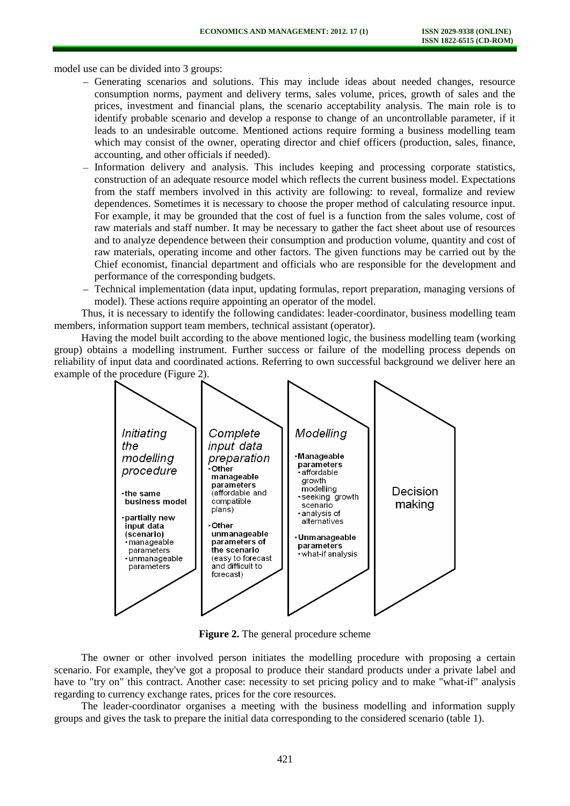model use can be divided into 3 groups:

- Generating scenarios and solutions. This may include ideas about needed changes, resource consumption norms, payment and delivery terms, sales volume, prices, growth of sales and the prices, investment and financial plans, the scenario acceptability analysis. The main role is to identify probable scenario and develop a response to change of an uncontrollable parameter, if it leads to an undesirable outcome. Mentioned actions require forming a business modelling team which may consist of the owner, operating director and chief officers (production, sales, finance, accounting, and other officials if needed).
- Information delivery and analysis. This includes keeping and processing corporate statistics, construction of an adequate resource model which reflects the current business model. Expectations from the staff members involved in this activity are following: to reveal, formalize and review dependences. Sometimes it is necessary to choose the proper method of calculating resource input. For example, it may be grounded that the cost of fuel is a function from the sales volume, cost of raw materials and staff number. It may be necessary to gather the fact sheet about use of resources and to analyze dependence between their consumption and production volume, quantity and cost of raw materials, operating income and other factors. The given functions may be carried out by the Chief economist, financial department and officials who are responsible for the development and performance of the corresponding budgets.
- Technical implementation (data input, updating formulas, report preparation, managing versions of model). These actions require appointing an operator of the model.

Thus, it is necessary to identify the following candidates: leader-coordinator, business modelling team members, information support team members, technical assistant (operator).

Having the model built according to the above mentioned logic, the business modelling team (working group) obtains a modelling instrument. Further success or failure of the modelling process depends on reliability of input data and coordinated actions. Referring to own successful background we deliver here an example of the procedure (Figure 2).



**Figure 2.** The general procedure scheme

The owner or other involved person initiates the modelling procedure with proposing a certain scenario. For example, they've got a proposal to produce their standard products under a private label and have to "try on" this contract. Another case: necessity to set pricing policy and to make "what-if" analysis regarding to currency exchange rates, prices for the core resources.

The leader-coordinator organises a meeting with the business modelling and information supply groups and gives the task to prepare the initial data corresponding to the considered scenario (table 1).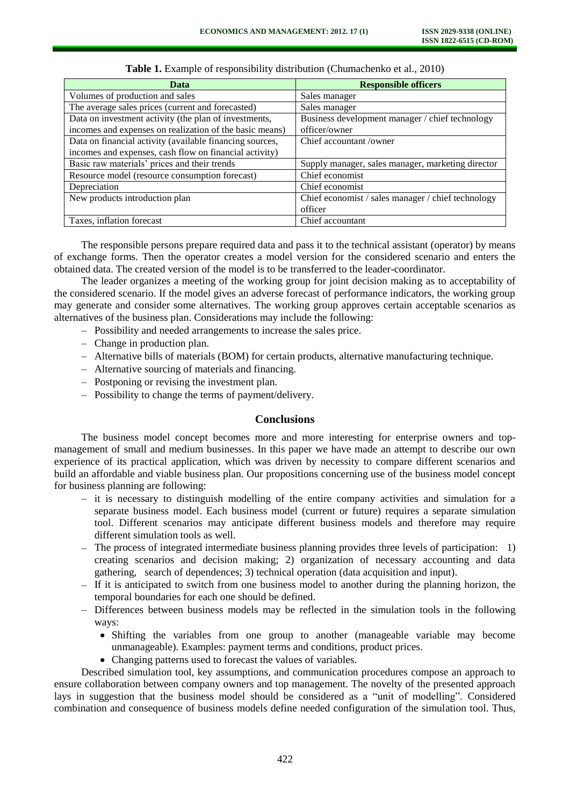| Data                                                     | <b>Responsible officers</b>                        |
|----------------------------------------------------------|----------------------------------------------------|
| Volumes of production and sales                          | Sales manager                                      |
| The average sales prices (current and forecasted)        | Sales manager                                      |
| Data on investment activity (the plan of investments,    | Business development manager / chief technology    |
| incomes and expenses on realization of the basic means)  | officer/owner                                      |
| Data on financial activity (available financing sources, | Chief accountant/owner                             |
| incomes and expenses, cash flow on financial activity)   |                                                    |
| Basic raw materials' prices and their trends             | Supply manager, sales manager, marketing director  |
| Resource model (resource consumption forecast)           | Chief economist                                    |
| Depreciation                                             | Chief economist                                    |
| New products introduction plan                           | Chief economist / sales manager / chief technology |
|                                                          | officer                                            |
| Taxes, inflation forecast                                | Chief accountant                                   |

**Table 1.** Example of responsibility distribution (Chumachenko et al., 2010)

The responsible persons prepare required data and pass it to the technical assistant (operator) by means of exchange forms. Then the operator creates a model version for the considered scenario and enters the obtained data. The created version of the model is to be transferred to the leader-coordinator.

The leader organizes a meeting of the working group for joint decision making as to acceptability of the considered scenario. If the model gives an adverse forecast of performance indicators, the working group may generate and consider some alternatives. The working group approves certain acceptable scenarios as alternatives of the business plan. Considerations may include the following:

- Possibility and needed arrangements to increase the sales price.
- Change in production plan.
- Alternative bills of materials (BOM) for certain products, alternative manufacturing technique.
- Alternative sourcing of materials and financing.
- Postponing or revising the investment plan.
- Possibility to change the terms of payment/delivery.

# **Conclusions**

The business model concept becomes more and more interesting for enterprise owners and topmanagement of small and medium businesses. In this paper we have made an attempt to describe our own experience of its practical application, which was driven by necessity to compare different scenarios and build an affordable and viable business plan. Our propositions concerning use of the business model concept for business planning are following:

- it is necessary to distinguish modelling of the entire company activities and simulation for a separate business model. Each business model (current or future) requires a separate simulation tool. Different scenarios may anticipate different business models and therefore may require different simulation tools as well.
- $-$  The process of integrated intermediate business planning provides three levels of participation: 1) creating scenarios and decision making; 2) organization of necessary accounting and data gathering, search of dependences; 3) technical operation (data acquisition and input).
- $-$  If it is anticipated to switch from one business model to another during the planning horizon, the temporal boundaries for each one should be defined.
- Differences between business models may be reflected in the simulation tools in the following ways:
	- Shifting the variables from one group to another (manageable variable may become unmanageable). Examples: payment terms and conditions, product prices.
	- Changing patterns used to forecast the values of variables.

Described simulation tool, key assumptions, and communication procedures compose an approach to ensure collaboration between company owners and top management. The novelty of the presented approach lays in suggestion that the business model should be considered as a "unit of modelling". Considered combination and consequence of business models define needed configuration of the simulation tool. Thus,